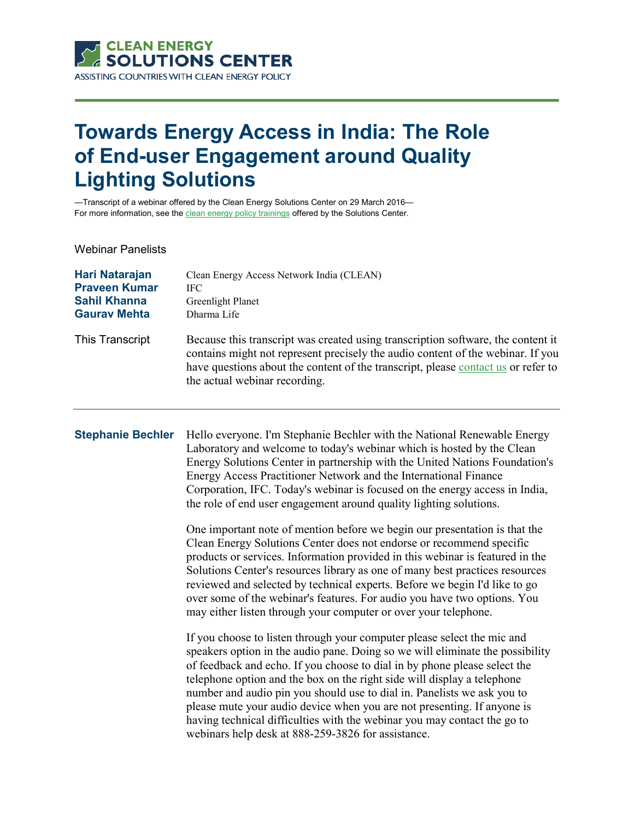

## **Towards Energy Access in India: The Role of End-user Engagement around Quality Lighting Solutions**

—Transcript of a webinar offered by the Clean Energy Solutions Center on 29 March 2016— For more information, see th[e clean energy policy trainings](https://cleanenergysolutions.org/training) offered by the Solutions Center.

Webinar Panelists

| Hari Natarajan       | Clean Energy Access Network India (CLEAN)                                                                                                                                                                                                                                                 |
|----------------------|-------------------------------------------------------------------------------------------------------------------------------------------------------------------------------------------------------------------------------------------------------------------------------------------|
| <b>Praveen Kumar</b> | <b>IFC</b>                                                                                                                                                                                                                                                                                |
| <b>Sahil Khanna</b>  | Greenlight Planet                                                                                                                                                                                                                                                                         |
| <b>Gaurav Mehta</b>  | Dharma Life                                                                                                                                                                                                                                                                               |
| This Transcript      | Because this transcript was created using transcription software, the content it<br>contains might not represent precisely the audio content of the webinar. If you<br>have questions about the content of the transcript, please contact us or refer to<br>the actual webinar recording. |

**Stephanie Bechler** Hello everyone. I'm Stephanie Bechler with the National Renewable Energy Laboratory and welcome to today's webinar which is hosted by the Clean Energy Solutions Center in partnership with the United Nations Foundation's Energy Access Practitioner Network and the International Finance Corporation, IFC. Today's webinar is focused on the energy access in India, the role of end user engagement around quality lighting solutions.

> One important note of mention before we begin our presentation is that the Clean Energy Solutions Center does not endorse or recommend specific products or services. Information provided in this webinar is featured in the Solutions Center's resources library as one of many best practices resources reviewed and selected by technical experts. Before we begin I'd like to go over some of the webinar's features. For audio you have two options. You may either listen through your computer or over your telephone.

If you choose to listen through your computer please select the mic and speakers option in the audio pane. Doing so we will eliminate the possibility of feedback and echo. If you choose to dial in by phone please select the telephone option and the box on the right side will display a telephone number and audio pin you should use to dial in. Panelists we ask you to please mute your audio device when you are not presenting. If anyone is having technical difficulties with the webinar you may contact the go to webinars help desk at 888-259-3826 for assistance.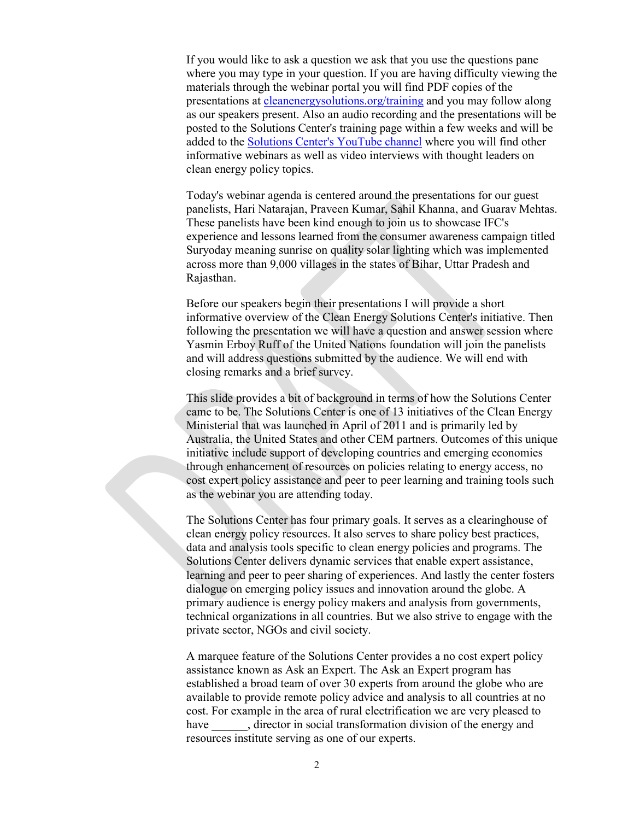If you would like to ask a question we ask that you use the questions pane where you may type in your question. If you are having difficulty viewing the materials through the webinar portal you will find PDF copies of the presentations at [cleanenergysolutions.org/training](https://cleanenergysolutions.org/training) and you may follow along as our speakers present. Also an audio recording and the presentations will be posted to the Solutions Center's training page within a few weeks and will be added to the Solutions [Center's YouTube channel](https://www.youtube.com/user/cleanenergypolicy) where you will find other informative webinars as well as video interviews with thought leaders on clean energy policy topics.

Today's webinar agenda is centered around the presentations for our guest panelists, Hari Natarajan, Praveen Kumar, Sahil Khanna, and Guarav Mehtas. These panelists have been kind enough to join us to showcase IFC's experience and lessons learned from the consumer awareness campaign titled Suryoday meaning sunrise on quality solar lighting which was implemented across more than 9,000 villages in the states of Bihar, Uttar Pradesh and Rajasthan.

Before our speakers begin their presentations I will provide a short informative overview of the Clean Energy Solutions Center's initiative. Then following the presentation we will have a question and answer session where Yasmin Erboy Ruff of the United Nations foundation will join the panelists and will address questions submitted by the audience. We will end with closing remarks and a brief survey.

This slide provides a bit of background in terms of how the Solutions Center came to be. The Solutions Center is one of 13 initiatives of the Clean Energy Ministerial that was launched in April of 2011 and is primarily led by Australia, the United States and other CEM partners. Outcomes of this unique initiative include support of developing countries and emerging economies through enhancement of resources on policies relating to energy access, no cost expert policy assistance and peer to peer learning and training tools such as the webinar you are attending today.

The Solutions Center has four primary goals. It serves as a clearinghouse of clean energy policy resources. It also serves to share policy best practices, data and analysis tools specific to clean energy policies and programs. The Solutions Center delivers dynamic services that enable expert assistance, learning and peer to peer sharing of experiences. And lastly the center fosters dialogue on emerging policy issues and innovation around the globe. A primary audience is energy policy makers and analysis from governments, technical organizations in all countries. But we also strive to engage with the private sector, NGOs and civil society.

A marquee feature of the Solutions Center provides a no cost expert policy assistance known as Ask an Expert. The Ask an Expert program has established a broad team of over 30 experts from around the globe who are available to provide remote policy advice and analysis to all countries at no cost. For example in the area of rural electrification we are very pleased to have , director in social transformation division of the energy and resources institute serving as one of our experts.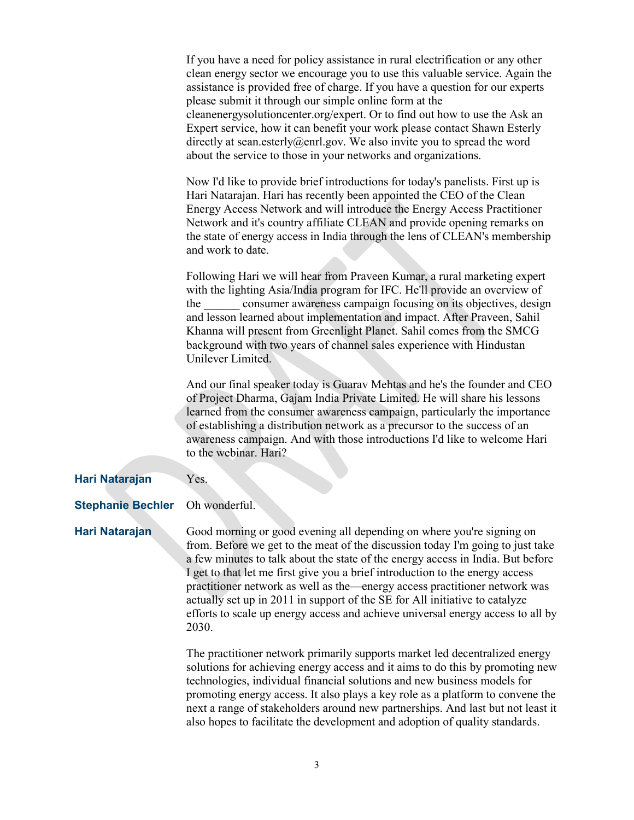|                          | If you have a need for policy assistance in rural electrification or any other<br>clean energy sector we encourage you to use this valuable service. Again the<br>assistance is provided free of charge. If you have a question for our experts<br>please submit it through our simple online form at the<br>cleanenergysolutioncenter.org/expert. Or to find out how to use the Ask an<br>Expert service, how it can benefit your work please contact Shawn Esterly<br>directly at sean.esterly@enrl.gov. We also invite you to spread the word<br>about the service to those in your networks and organizations. |
|--------------------------|--------------------------------------------------------------------------------------------------------------------------------------------------------------------------------------------------------------------------------------------------------------------------------------------------------------------------------------------------------------------------------------------------------------------------------------------------------------------------------------------------------------------------------------------------------------------------------------------------------------------|
|                          | Now I'd like to provide brief introductions for today's panelists. First up is<br>Hari Natarajan. Hari has recently been appointed the CEO of the Clean<br>Energy Access Network and will introduce the Energy Access Practitioner<br>Network and it's country affiliate CLEAN and provide opening remarks on<br>the state of energy access in India through the lens of CLEAN's membership<br>and work to date.                                                                                                                                                                                                   |
|                          | Following Hari we will hear from Praveen Kumar, a rural marketing expert<br>with the lighting Asia/India program for IFC. He'll provide an overview of<br>the consumer awareness campaign focusing on its objectives, design<br>and lesson learned about implementation and impact. After Praveen, Sahil<br>Khanna will present from Greenlight Planet. Sahil comes from the SMCG<br>background with two years of channel sales experience with Hindustan<br>Unilever Limited.                                                                                                                                     |
|                          | And our final speaker today is Guarav Mehtas and he's the founder and CEO<br>of Project Dharma, Gajam India Private Limited. He will share his lessons<br>learned from the consumer awareness campaign, particularly the importance<br>of establishing a distribution network as a precursor to the success of an<br>awareness campaign. And with those introductions I'd like to welcome Hari<br>to the webinar. Hari?                                                                                                                                                                                            |
| Hari Natarajan           | Yes.                                                                                                                                                                                                                                                                                                                                                                                                                                                                                                                                                                                                               |
| <b>Stephanie Bechler</b> | Oh wonderful.                                                                                                                                                                                                                                                                                                                                                                                                                                                                                                                                                                                                      |
| Hari Natarajan           | Good morning or good evening all depending on where you're signing on<br>from. Before we get to the meat of the discussion today I'm going to just take<br>a few minutes to talk about the state of the energy access in India. But before<br>I get to that let me first give you a brief introduction to the energy access<br>practitioner network as well as the—energy access practitioner network was<br>actually set up in 2011 in support of the SE for All initiative to catalyze<br>efforts to scale up energy access and achieve universal energy access to all by<br>2030.                               |
|                          | The practitioner network primarily supports market led decentralized energy<br>solutions for achieving energy access and it aims to do this by promoting new<br>technologies, individual financial solutions and new business models for<br>promoting energy access. It also plays a key role as a platform to convene the                                                                                                                                                                                                                                                                                         |

next a range of stakeholders around new partnerships. And last but not least it also hopes to facilitate the development and adoption of quality standards.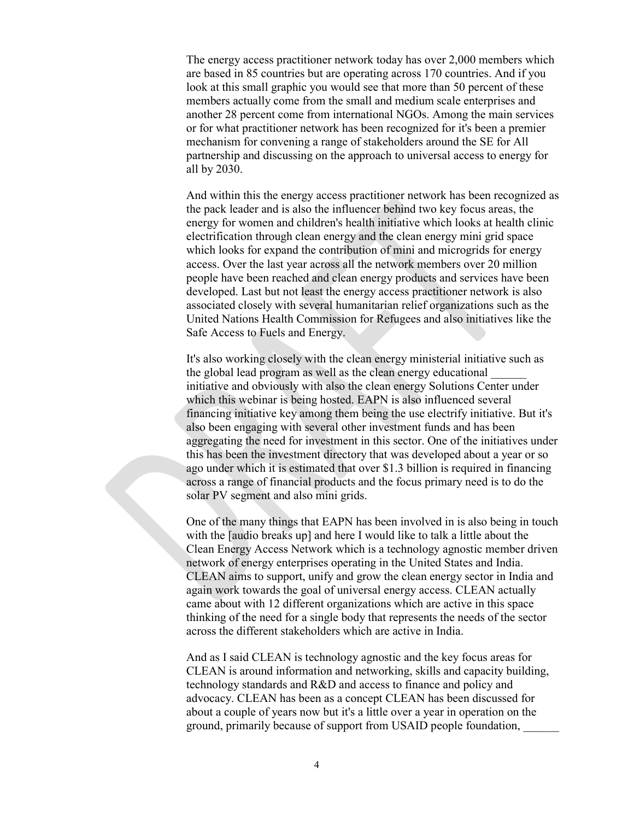The energy access practitioner network today has over 2,000 members which are based in 85 countries but are operating across 170 countries. And if you look at this small graphic you would see that more than 50 percent of these members actually come from the small and medium scale enterprises and another 28 percent come from international NGOs. Among the main services or for what practitioner network has been recognized for it's been a premier mechanism for convening a range of stakeholders around the SE for All partnership and discussing on the approach to universal access to energy for all by 2030.

And within this the energy access practitioner network has been recognized as the pack leader and is also the influencer behind two key focus areas, the energy for women and children's health initiative which looks at health clinic electrification through clean energy and the clean energy mini grid space which looks for expand the contribution of mini and microgrids for energy access. Over the last year across all the network members over 20 million people have been reached and clean energy products and services have been developed. Last but not least the energy access practitioner network is also associated closely with several humanitarian relief organizations such as the United Nations Health Commission for Refugees and also initiatives like the Safe Access to Fuels and Energy.

It's also working closely with the clean energy ministerial initiative such as the global lead program as well as the clean energy educational \_\_\_\_\_\_ initiative and obviously with also the clean energy Solutions Center under which this webinar is being hosted. EAPN is also influenced several financing initiative key among them being the use electrify initiative. But it's also been engaging with several other investment funds and has been aggregating the need for investment in this sector. One of the initiatives under this has been the investment directory that was developed about a year or so ago under which it is estimated that over \$1.3 billion is required in financing across a range of financial products and the focus primary need is to do the solar PV segment and also mini grids.

One of the many things that EAPN has been involved in is also being in touch with the [audio breaks up] and here I would like to talk a little about the Clean Energy Access Network which is a technology agnostic member driven network of energy enterprises operating in the United States and India. CLEAN aims to support, unify and grow the clean energy sector in India and again work towards the goal of universal energy access. CLEAN actually came about with 12 different organizations which are active in this space thinking of the need for a single body that represents the needs of the sector across the different stakeholders which are active in India.

And as I said CLEAN is technology agnostic and the key focus areas for CLEAN is around information and networking, skills and capacity building, technology standards and R&D and access to finance and policy and advocacy. CLEAN has been as a concept CLEAN has been discussed for about a couple of years now but it's a little over a year in operation on the ground, primarily because of support from USAID people foundation, \_\_\_\_\_\_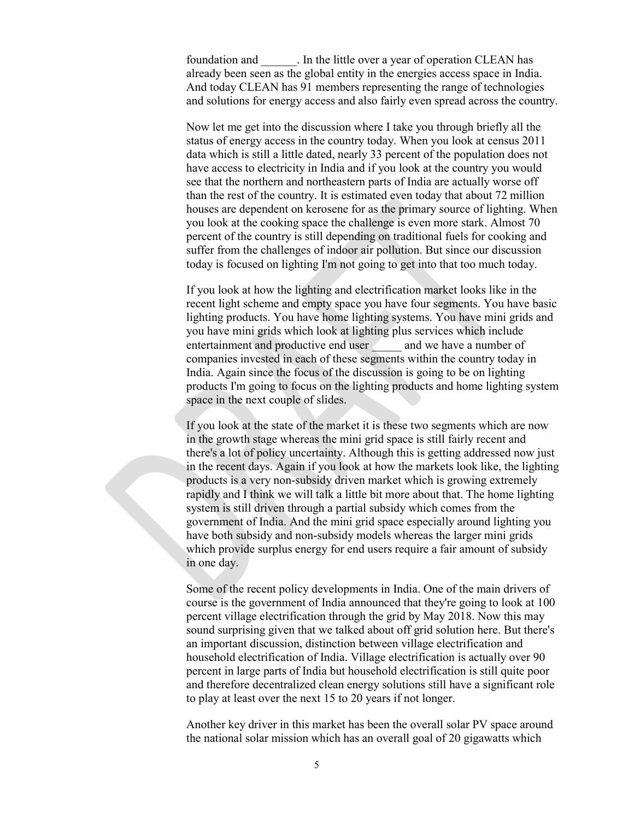foundation and \_\_\_\_\_\_. In the little over a year of operation CLEAN has already been seen as the global entity in the energies access space in India. And today CLEAN has 91 members representing the range of technologies and solutions for energy access and also fairly even spread across the country.

Now let me get into the discussion where I take you through briefly all the status of energy access in the country today. When you look at census 2011 data which is still a little dated, nearly 33 percent of the population does not have access to electricity in India and if you look at the country you would see that the northern and northeastern parts of India are actually worse off than the rest of the country. It is estimated even today that about 72 million houses are dependent on kerosene for as the primary source of lighting. When you look at the cooking space the challenge is even more stark. Almost 70 percent of the country is still depending on traditional fuels for cooking and suffer from the challenges of indoor air pollution. But since our discussion today is focused on lighting I'm not going to get into that too much today.

If you look at how the lighting and electrification market looks like in the recent light scheme and empty space you have four segments. You have basic lighting products. You have home lighting systems. You have mini grids and you have mini grids which look at lighting plus services which include entertainment and productive end user and we have a number of companies invested in each of these segments within the country today in India. Again since the focus of the discussion is going to be on lighting products I'm going to focus on the lighting products and home lighting system space in the next couple of slides.

If you look at the state of the market it is these two segments which are now in the growth stage whereas the mini grid space is still fairly recent and there's a lot of policy uncertainty. Although this is getting addressed now just in the recent days. Again if you look at how the markets look like, the lighting products is a very non-subsidy driven market which is growing extremely rapidly and I think we will talk a little bit more about that. The home lighting system is still driven through a partial subsidy which comes from the government of India. And the mini grid space especially around lighting you have both subsidy and non-subsidy models whereas the larger mini grids which provide surplus energy for end users require a fair amount of subsidy in one day.

Some of the recent policy developments in India. One of the main drivers of course is the government of India announced that they're going to look at 100 percent village electrification through the grid by May 2018. Now this may sound surprising given that we talked about off grid solution here. But there's an important discussion, distinction between village electrification and household electrification of India. Village electrification is actually over 90 percent in large parts of India but household electrification is still quite poor and therefore decentralized clean energy solutions still have a significant role to play at least over the next 15 to 20 years if not longer.

Another key driver in this market has been the overall solar PV space around the national solar mission which has an overall goal of 20 gigawatts which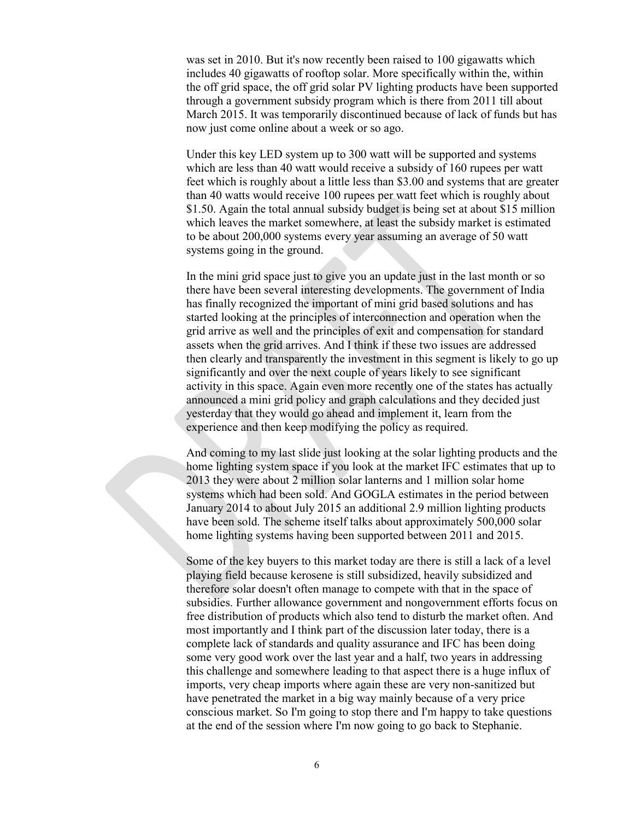was set in 2010. But it's now recently been raised to 100 gigawatts which includes 40 gigawatts of rooftop solar. More specifically within the, within the off grid space, the off grid solar PV lighting products have been supported through a government subsidy program which is there from 2011 till about March 2015. It was temporarily discontinued because of lack of funds but has now just come online about a week or so ago.

Under this key LED system up to 300 watt will be supported and systems which are less than 40 watt would receive a subsidy of 160 rupees per watt feet which is roughly about a little less than \$3.00 and systems that are greater than 40 watts would receive 100 rupees per watt feet which is roughly about \$1.50. Again the total annual subsidy budget is being set at about \$15 million which leaves the market somewhere, at least the subsidy market is estimated to be about 200,000 systems every year assuming an average of 50 watt systems going in the ground.

In the mini grid space just to give you an update just in the last month or so there have been several interesting developments. The government of India has finally recognized the important of mini grid based solutions and has started looking at the principles of interconnection and operation when the grid arrive as well and the principles of exit and compensation for standard assets when the grid arrives. And I think if these two issues are addressed then clearly and transparently the investment in this segment is likely to go up significantly and over the next couple of years likely to see significant activity in this space. Again even more recently one of the states has actually announced a mini grid policy and graph calculations and they decided just yesterday that they would go ahead and implement it, learn from the experience and then keep modifying the policy as required.

And coming to my last slide just looking at the solar lighting products and the home lighting system space if you look at the market IFC estimates that up to 2013 they were about 2 million solar lanterns and 1 million solar home systems which had been sold. And GOGLA estimates in the period between January 2014 to about July 2015 an additional 2.9 million lighting products have been sold. The scheme itself talks about approximately 500,000 solar home lighting systems having been supported between 2011 and 2015.

Some of the key buyers to this market today are there is still a lack of a level playing field because kerosene is still subsidized, heavily subsidized and therefore solar doesn't often manage to compete with that in the space of subsidies. Further allowance government and nongovernment efforts focus on free distribution of products which also tend to disturb the market often. And most importantly and I think part of the discussion later today, there is a complete lack of standards and quality assurance and IFC has been doing some very good work over the last year and a half, two years in addressing this challenge and somewhere leading to that aspect there is a huge influx of imports, very cheap imports where again these are very non-sanitized but have penetrated the market in a big way mainly because of a very price conscious market. So I'm going to stop there and I'm happy to take questions at the end of the session where I'm now going to go back to Stephanie.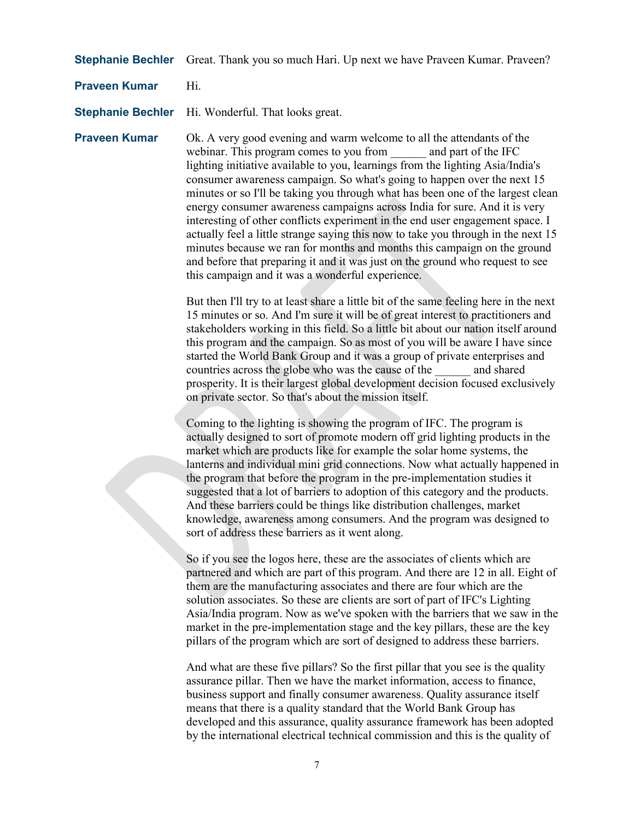**Stephanie Bechler** Great. Thank you so much Hari. Up next we have Praveen Kumar. Praveen?

**Praveen Kumar** Hi.

**Stephanie Bechler** Hi. Wonderful. That looks great.

**Praveen Kumar** Ok. A very good evening and warm welcome to all the attendants of the webinar. This program comes to you from and part of the IFC lighting initiative available to you, learnings from the lighting Asia/India's consumer awareness campaign. So what's going to happen over the next 15 minutes or so I'll be taking you through what has been one of the largest clean energy consumer awareness campaigns across India for sure. And it is very interesting of other conflicts experiment in the end user engagement space. I actually feel a little strange saying this now to take you through in the next 15 minutes because we ran for months and months this campaign on the ground and before that preparing it and it was just on the ground who request to see this campaign and it was a wonderful experience.

> But then I'll try to at least share a little bit of the same feeling here in the next 15 minutes or so. And I'm sure it will be of great interest to practitioners and stakeholders working in this field. So a little bit about our nation itself around this program and the campaign. So as most of you will be aware I have since started the World Bank Group and it was a group of private enterprises and countries across the globe who was the cause of the and shared prosperity. It is their largest global development decision focused exclusively on private sector. So that's about the mission itself.

> Coming to the lighting is showing the program of IFC. The program is actually designed to sort of promote modern off grid lighting products in the market which are products like for example the solar home systems, the lanterns and individual mini grid connections. Now what actually happened in the program that before the program in the pre-implementation studies it suggested that a lot of barriers to adoption of this category and the products. And these barriers could be things like distribution challenges, market knowledge, awareness among consumers. And the program was designed to sort of address these barriers as it went along.

> So if you see the logos here, these are the associates of clients which are partnered and which are part of this program. And there are 12 in all. Eight of them are the manufacturing associates and there are four which are the solution associates. So these are clients are sort of part of IFC's Lighting Asia/India program. Now as we've spoken with the barriers that we saw in the market in the pre-implementation stage and the key pillars, these are the key pillars of the program which are sort of designed to address these barriers.

And what are these five pillars? So the first pillar that you see is the quality assurance pillar. Then we have the market information, access to finance, business support and finally consumer awareness. Quality assurance itself means that there is a quality standard that the World Bank Group has developed and this assurance, quality assurance framework has been adopted by the international electrical technical commission and this is the quality of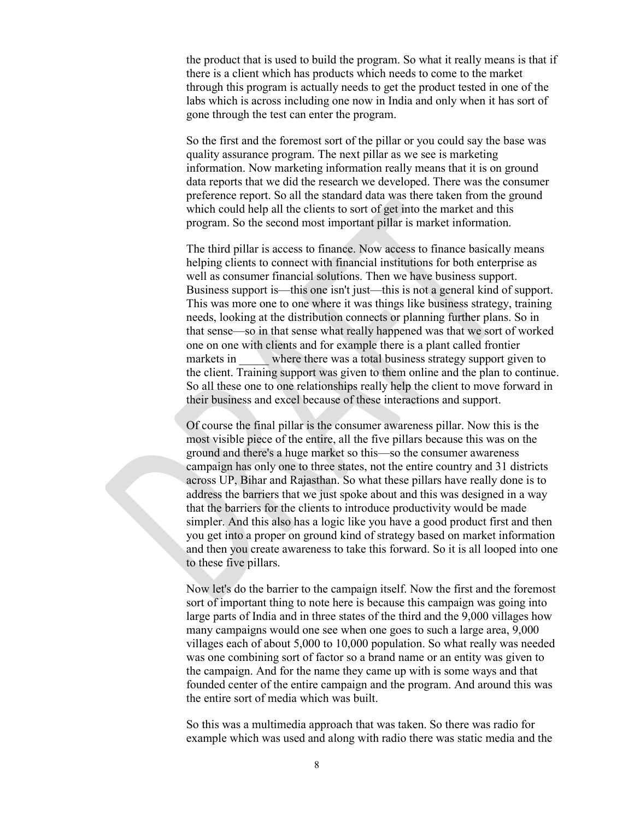the product that is used to build the program. So what it really means is that if there is a client which has products which needs to come to the market through this program is actually needs to get the product tested in one of the labs which is across including one now in India and only when it has sort of gone through the test can enter the program.

So the first and the foremost sort of the pillar or you could say the base was quality assurance program. The next pillar as we see is marketing information. Now marketing information really means that it is on ground data reports that we did the research we developed. There was the consumer preference report. So all the standard data was there taken from the ground which could help all the clients to sort of get into the market and this program. So the second most important pillar is market information.

The third pillar is access to finance. Now access to finance basically means helping clients to connect with financial institutions for both enterprise as well as consumer financial solutions. Then we have business support. Business support is—this one isn't just—this is not a general kind of support. This was more one to one where it was things like business strategy, training needs, looking at the distribution connects or planning further plans. So in that sense—so in that sense what really happened was that we sort of worked one on one with clients and for example there is a plant called frontier markets in where there was a total business strategy support given to the client. Training support was given to them online and the plan to continue. So all these one to one relationships really help the client to move forward in their business and excel because of these interactions and support.

Of course the final pillar is the consumer awareness pillar. Now this is the most visible piece of the entire, all the five pillars because this was on the ground and there's a huge market so this—so the consumer awareness campaign has only one to three states, not the entire country and 31 districts across UP, Bihar and Rajasthan. So what these pillars have really done is to address the barriers that we just spoke about and this was designed in a way that the barriers for the clients to introduce productivity would be made simpler. And this also has a logic like you have a good product first and then you get into a proper on ground kind of strategy based on market information and then you create awareness to take this forward. So it is all looped into one to these five pillars.

Now let's do the barrier to the campaign itself. Now the first and the foremost sort of important thing to note here is because this campaign was going into large parts of India and in three states of the third and the 9,000 villages how many campaigns would one see when one goes to such a large area, 9,000 villages each of about 5,000 to 10,000 population. So what really was needed was one combining sort of factor so a brand name or an entity was given to the campaign. And for the name they came up with is some ways and that founded center of the entire campaign and the program. And around this was the entire sort of media which was built.

So this was a multimedia approach that was taken. So there was radio for example which was used and along with radio there was static media and the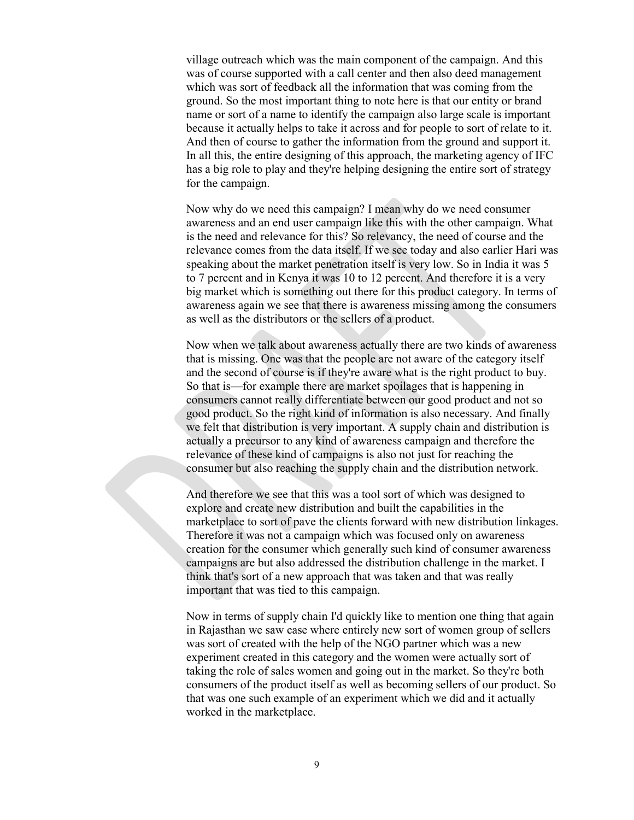village outreach which was the main component of the campaign. And this was of course supported with a call center and then also deed management which was sort of feedback all the information that was coming from the ground. So the most important thing to note here is that our entity or brand name or sort of a name to identify the campaign also large scale is important because it actually helps to take it across and for people to sort of relate to it. And then of course to gather the information from the ground and support it. In all this, the entire designing of this approach, the marketing agency of IFC has a big role to play and they're helping designing the entire sort of strategy for the campaign.

Now why do we need this campaign? I mean why do we need consumer awareness and an end user campaign like this with the other campaign. What is the need and relevance for this? So relevancy, the need of course and the relevance comes from the data itself. If we see today and also earlier Hari was speaking about the market penetration itself is very low. So in India it was 5 to 7 percent and in Kenya it was 10 to 12 percent. And therefore it is a very big market which is something out there for this product category. In terms of awareness again we see that there is awareness missing among the consumers as well as the distributors or the sellers of a product.

Now when we talk about awareness actually there are two kinds of awareness that is missing. One was that the people are not aware of the category itself and the second of course is if they're aware what is the right product to buy. So that is—for example there are market spoilages that is happening in consumers cannot really differentiate between our good product and not so good product. So the right kind of information is also necessary. And finally we felt that distribution is very important. A supply chain and distribution is actually a precursor to any kind of awareness campaign and therefore the relevance of these kind of campaigns is also not just for reaching the consumer but also reaching the supply chain and the distribution network.

And therefore we see that this was a tool sort of which was designed to explore and create new distribution and built the capabilities in the marketplace to sort of pave the clients forward with new distribution linkages. Therefore it was not a campaign which was focused only on awareness creation for the consumer which generally such kind of consumer awareness campaigns are but also addressed the distribution challenge in the market. I think that's sort of a new approach that was taken and that was really important that was tied to this campaign.

Now in terms of supply chain I'd quickly like to mention one thing that again in Rajasthan we saw case where entirely new sort of women group of sellers was sort of created with the help of the NGO partner which was a new experiment created in this category and the women were actually sort of taking the role of sales women and going out in the market. So they're both consumers of the product itself as well as becoming sellers of our product. So that was one such example of an experiment which we did and it actually worked in the marketplace.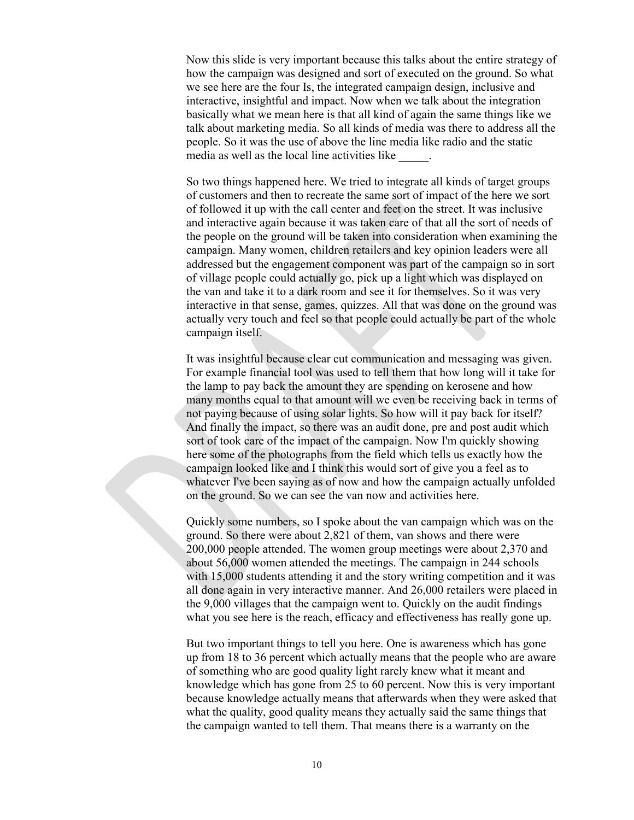Now this slide is very important because this talks about the entire strategy of how the campaign was designed and sort of executed on the ground. So what we see here are the four Is, the integrated campaign design, inclusive and interactive, insightful and impact. Now when we talk about the integration basically what we mean here is that all kind of again the same things like we talk about marketing media. So all kinds of media was there to address all the people. So it was the use of above the line media like radio and the static media as well as the local line activities like \_\_\_\_\_.

So two things happened here. We tried to integrate all kinds of target groups of customers and then to recreate the same sort of impact of the here we sort of followed it up with the call center and feet on the street. It was inclusive and interactive again because it was taken care of that all the sort of needs of the people on the ground will be taken into consideration when examining the campaign. Many women, children retailers and key opinion leaders were all addressed but the engagement component was part of the campaign so in sort of village people could actually go, pick up a light which was displayed on the van and take it to a dark room and see it for themselves. So it was very interactive in that sense, games, quizzes. All that was done on the ground was actually very touch and feel so that people could actually be part of the whole campaign itself.

It was insightful because clear cut communication and messaging was given. For example financial tool was used to tell them that how long will it take for the lamp to pay back the amount they are spending on kerosene and how many months equal to that amount will we even be receiving back in terms of not paying because of using solar lights. So how will it pay back for itself? And finally the impact, so there was an audit done, pre and post audit which sort of took care of the impact of the campaign. Now I'm quickly showing here some of the photographs from the field which tells us exactly how the campaign looked like and I think this would sort of give you a feel as to whatever I've been saying as of now and how the campaign actually unfolded on the ground. So we can see the van now and activities here.

Quickly some numbers, so I spoke about the van campaign which was on the ground. So there were about 2,821 of them, van shows and there were 200,000 people attended. The women group meetings were about 2,370 and about 56,000 women attended the meetings. The campaign in 244 schools with 15,000 students attending it and the story writing competition and it was all done again in very interactive manner. And 26,000 retailers were placed in the 9,000 villages that the campaign went to. Quickly on the audit findings what you see here is the reach, efficacy and effectiveness has really gone up.

But two important things to tell you here. One is awareness which has gone up from 18 to 36 percent which actually means that the people who are aware of something who are good quality light rarely knew what it meant and knowledge which has gone from 25 to 60 percent. Now this is very important because knowledge actually means that afterwards when they were asked that what the quality, good quality means they actually said the same things that the campaign wanted to tell them. That means there is a warranty on the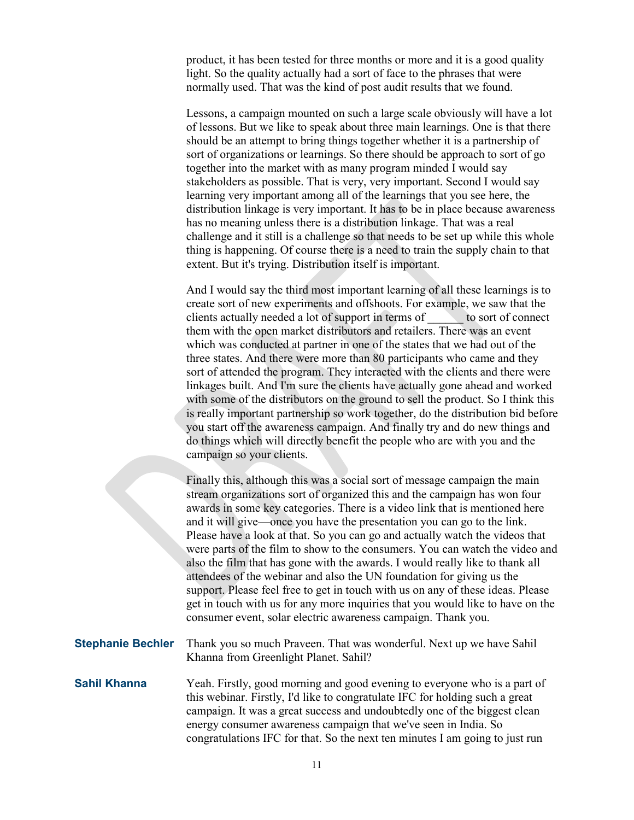product, it has been tested for three months or more and it is a good quality light. So the quality actually had a sort of face to the phrases that were normally used. That was the kind of post audit results that we found.

Lessons, a campaign mounted on such a large scale obviously will have a lot of lessons. But we like to speak about three main learnings. One is that there should be an attempt to bring things together whether it is a partnership of sort of organizations or learnings. So there should be approach to sort of go together into the market with as many program minded I would say stakeholders as possible. That is very, very important. Second I would say learning very important among all of the learnings that you see here, the distribution linkage is very important. It has to be in place because awareness has no meaning unless there is a distribution linkage. That was a real challenge and it still is a challenge so that needs to be set up while this whole thing is happening. Of course there is a need to train the supply chain to that extent. But it's trying. Distribution itself is important.

And I would say the third most important learning of all these learnings is to create sort of new experiments and offshoots. For example, we saw that the clients actually needed a lot of support in terms of \_\_\_\_\_\_ to sort of connect them with the open market distributors and retailers. There was an event which was conducted at partner in one of the states that we had out of the three states. And there were more than 80 participants who came and they sort of attended the program. They interacted with the clients and there were linkages built. And I'm sure the clients have actually gone ahead and worked with some of the distributors on the ground to sell the product. So I think this is really important partnership so work together, do the distribution bid before you start off the awareness campaign. And finally try and do new things and do things which will directly benefit the people who are with you and the campaign so your clients.

Finally this, although this was a social sort of message campaign the main stream organizations sort of organized this and the campaign has won four awards in some key categories. There is a video link that is mentioned here and it will give—once you have the presentation you can go to the link. Please have a look at that. So you can go and actually watch the videos that were parts of the film to show to the consumers. You can watch the video and also the film that has gone with the awards. I would really like to thank all attendees of the webinar and also the UN foundation for giving us the support. Please feel free to get in touch with us on any of these ideas. Please get in touch with us for any more inquiries that you would like to have on the consumer event, solar electric awareness campaign. Thank you.

| <b>Stephanie Bechler</b> Thank you so much Praveen. That was wonderful. Next up we have Sahil |
|-----------------------------------------------------------------------------------------------|
| Khanna from Greenlight Planet. Sahil?                                                         |

**Sahil Khanna** Yeah. Firstly, good morning and good evening to everyone who is a part of this webinar. Firstly, I'd like to congratulate IFC for holding such a great campaign. It was a great success and undoubtedly one of the biggest clean energy consumer awareness campaign that we've seen in India. So congratulations IFC for that. So the next ten minutes I am going to just run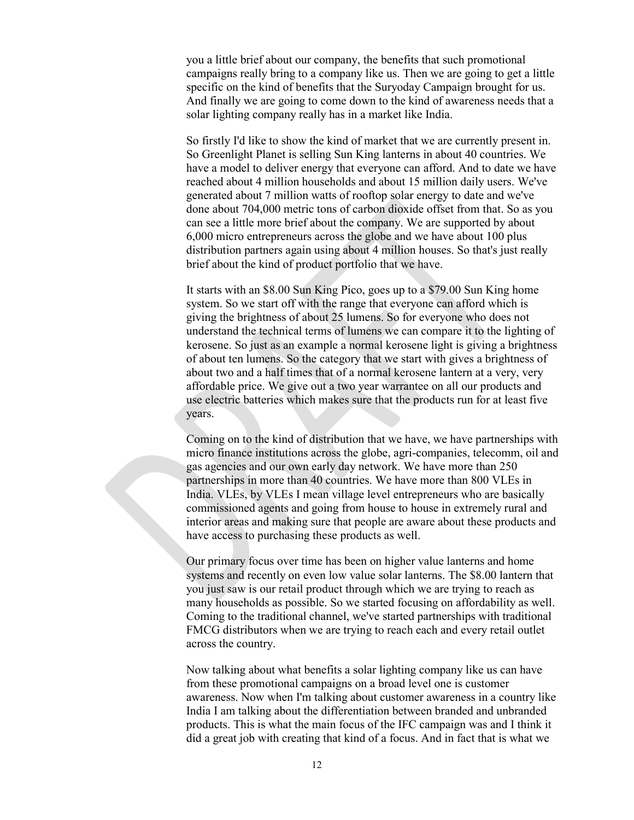you a little brief about our company, the benefits that such promotional campaigns really bring to a company like us. Then we are going to get a little specific on the kind of benefits that the Suryoday Campaign brought for us. And finally we are going to come down to the kind of awareness needs that a solar lighting company really has in a market like India.

So firstly I'd like to show the kind of market that we are currently present in. So Greenlight Planet is selling Sun King lanterns in about 40 countries. We have a model to deliver energy that everyone can afford. And to date we have reached about 4 million households and about 15 million daily users. We've generated about 7 million watts of rooftop solar energy to date and we've done about 704,000 metric tons of carbon dioxide offset from that. So as you can see a little more brief about the company. We are supported by about 6,000 micro entrepreneurs across the globe and we have about 100 plus distribution partners again using about 4 million houses. So that's just really brief about the kind of product portfolio that we have.

It starts with an \$8.00 Sun King Pico, goes up to a \$79.00 Sun King home system. So we start off with the range that everyone can afford which is giving the brightness of about 25 lumens. So for everyone who does not understand the technical terms of lumens we can compare it to the lighting of kerosene. So just as an example a normal kerosene light is giving a brightness of about ten lumens. So the category that we start with gives a brightness of about two and a half times that of a normal kerosene lantern at a very, very affordable price. We give out a two year warrantee on all our products and use electric batteries which makes sure that the products run for at least five years.

Coming on to the kind of distribution that we have, we have partnerships with micro finance institutions across the globe, agri-companies, telecomm, oil and gas agencies and our own early day network. We have more than 250 partnerships in more than 40 countries. We have more than 800 VLEs in India. VLEs, by VLEs I mean village level entrepreneurs who are basically commissioned agents and going from house to house in extremely rural and interior areas and making sure that people are aware about these products and have access to purchasing these products as well.

Our primary focus over time has been on higher value lanterns and home systems and recently on even low value solar lanterns. The \$8.00 lantern that you just saw is our retail product through which we are trying to reach as many households as possible. So we started focusing on affordability as well. Coming to the traditional channel, we've started partnerships with traditional FMCG distributors when we are trying to reach each and every retail outlet across the country.

Now talking about what benefits a solar lighting company like us can have from these promotional campaigns on a broad level one is customer awareness. Now when I'm talking about customer awareness in a country like India I am talking about the differentiation between branded and unbranded products. This is what the main focus of the IFC campaign was and I think it did a great job with creating that kind of a focus. And in fact that is what we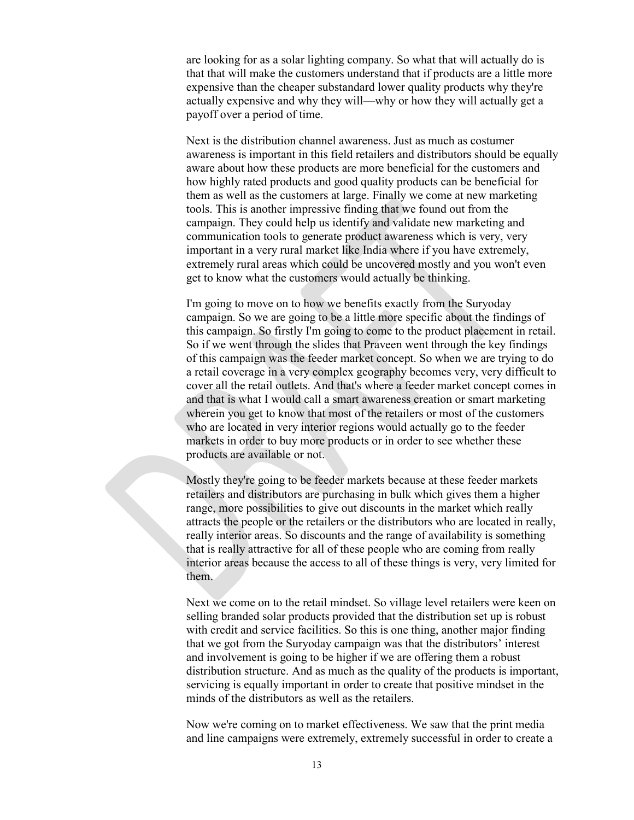are looking for as a solar lighting company. So what that will actually do is that that will make the customers understand that if products are a little more expensive than the cheaper substandard lower quality products why they're actually expensive and why they will—why or how they will actually get a payoff over a period of time.

Next is the distribution channel awareness. Just as much as costumer awareness is important in this field retailers and distributors should be equally aware about how these products are more beneficial for the customers and how highly rated products and good quality products can be beneficial for them as well as the customers at large. Finally we come at new marketing tools. This is another impressive finding that we found out from the campaign. They could help us identify and validate new marketing and communication tools to generate product awareness which is very, very important in a very rural market like India where if you have extremely, extremely rural areas which could be uncovered mostly and you won't even get to know what the customers would actually be thinking.

I'm going to move on to how we benefits exactly from the Suryoday campaign. So we are going to be a little more specific about the findings of this campaign. So firstly I'm going to come to the product placement in retail. So if we went through the slides that Praveen went through the key findings of this campaign was the feeder market concept. So when we are trying to do a retail coverage in a very complex geography becomes very, very difficult to cover all the retail outlets. And that's where a feeder market concept comes in and that is what I would call a smart awareness creation or smart marketing wherein you get to know that most of the retailers or most of the customers who are located in very interior regions would actually go to the feeder markets in order to buy more products or in order to see whether these products are available or not.

Mostly they're going to be feeder markets because at these feeder markets retailers and distributors are purchasing in bulk which gives them a higher range, more possibilities to give out discounts in the market which really attracts the people or the retailers or the distributors who are located in really, really interior areas. So discounts and the range of availability is something that is really attractive for all of these people who are coming from really interior areas because the access to all of these things is very, very limited for them.

Next we come on to the retail mindset. So village level retailers were keen on selling branded solar products provided that the distribution set up is robust with credit and service facilities. So this is one thing, another major finding that we got from the Suryoday campaign was that the distributors' interest and involvement is going to be higher if we are offering them a robust distribution structure. And as much as the quality of the products is important, servicing is equally important in order to create that positive mindset in the minds of the distributors as well as the retailers.

Now we're coming on to market effectiveness. We saw that the print media and line campaigns were extremely, extremely successful in order to create a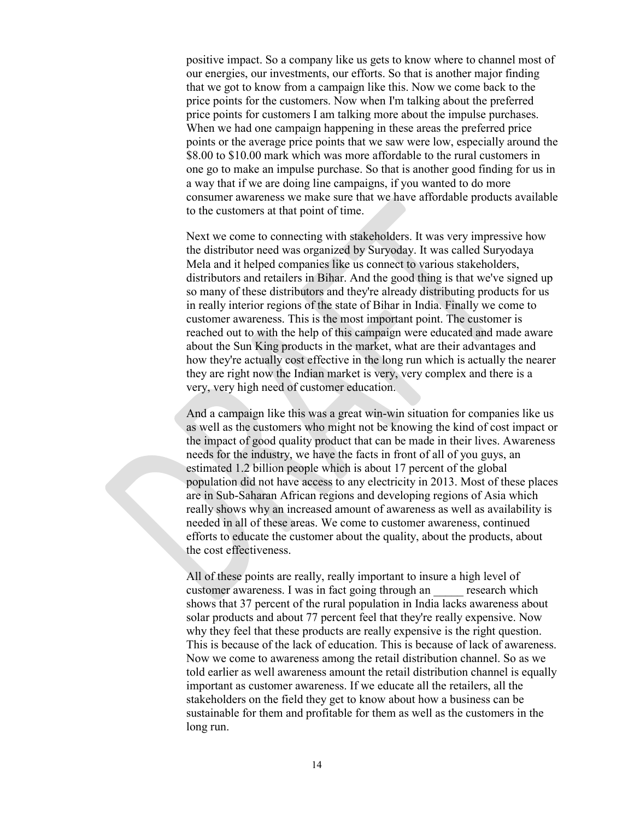positive impact. So a company like us gets to know where to channel most of our energies, our investments, our efforts. So that is another major finding that we got to know from a campaign like this. Now we come back to the price points for the customers. Now when I'm talking about the preferred price points for customers I am talking more about the impulse purchases. When we had one campaign happening in these areas the preferred price points or the average price points that we saw were low, especially around the \$8.00 to \$10.00 mark which was more affordable to the rural customers in one go to make an impulse purchase. So that is another good finding for us in a way that if we are doing line campaigns, if you wanted to do more consumer awareness we make sure that we have affordable products available to the customers at that point of time.

Next we come to connecting with stakeholders. It was very impressive how the distributor need was organized by Suryoday. It was called Suryodaya Mela and it helped companies like us connect to various stakeholders, distributors and retailers in Bihar. And the good thing is that we've signed up so many of these distributors and they're already distributing products for us in really interior regions of the state of Bihar in India. Finally we come to customer awareness. This is the most important point. The customer is reached out to with the help of this campaign were educated and made aware about the Sun King products in the market, what are their advantages and how they're actually cost effective in the long run which is actually the nearer they are right now the Indian market is very, very complex and there is a very, very high need of customer education.

And a campaign like this was a great win-win situation for companies like us as well as the customers who might not be knowing the kind of cost impact or the impact of good quality product that can be made in their lives. Awareness needs for the industry, we have the facts in front of all of you guys, an estimated 1.2 billion people which is about 17 percent of the global population did not have access to any electricity in 2013. Most of these places are in Sub-Saharan African regions and developing regions of Asia which really shows why an increased amount of awareness as well as availability is needed in all of these areas. We come to customer awareness, continued efforts to educate the customer about the quality, about the products, about the cost effectiveness.

All of these points are really, really important to insure a high level of customer awareness. I was in fact going through an \_\_\_\_\_ research which shows that 37 percent of the rural population in India lacks awareness about solar products and about 77 percent feel that they're really expensive. Now why they feel that these products are really expensive is the right question. This is because of the lack of education. This is because of lack of awareness. Now we come to awareness among the retail distribution channel. So as we told earlier as well awareness amount the retail distribution channel is equally important as customer awareness. If we educate all the retailers, all the stakeholders on the field they get to know about how a business can be sustainable for them and profitable for them as well as the customers in the long run.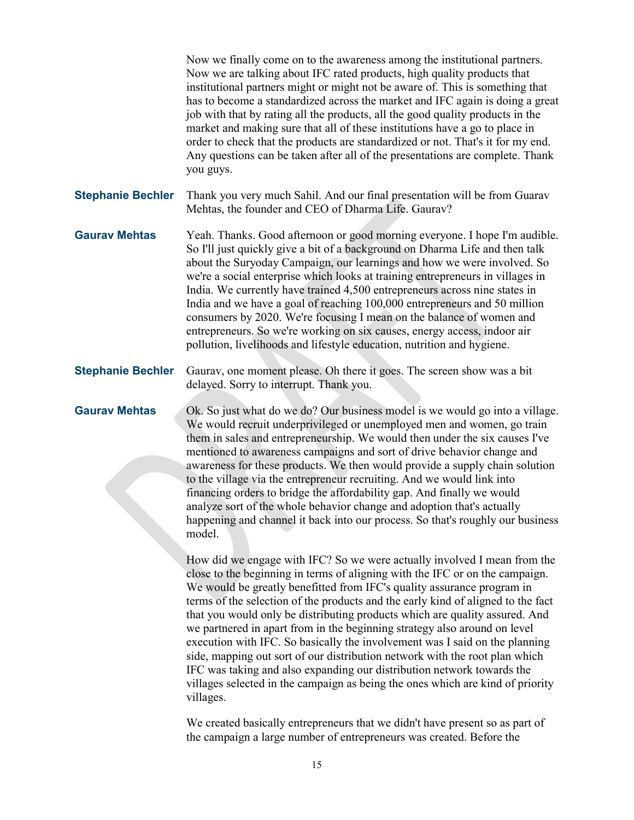Now we finally come on to the awareness among the institutional partners. Now we are talking about IFC rated products, high quality products that institutional partners might or might not be aware of. This is something that has to become a standardized across the market and IFC again is doing a great job with that by rating all the products, all the good quality products in the market and making sure that all of these institutions have a go to place in order to check that the products are standardized or not. That's it for my end. Any questions can be taken after all of the presentations are complete. Thank you guys. **Stephanie Bechler** Thank you very much Sahil. And our final presentation will be from Guarav Mehtas, the founder and CEO of Dharma Life. Gaurav? **Gaurav Mehtas** Yeah. Thanks. Good afternoon or good morning everyone. I hope I'm audible. So I'll just quickly give a bit of a background on Dharma Life and then talk about the Suryoday Campaign, our learnings and how we were involved. So we're a social enterprise which looks at training entrepreneurs in villages in India. We currently have trained 4,500 entrepreneurs across nine states in India and we have a goal of reaching 100,000 entrepreneurs and 50 million consumers by 2020. We're focusing I mean on the balance of women and entrepreneurs. So we're working on six causes, energy access, indoor air pollution, livelihoods and lifestyle education, nutrition and hygiene. **Stephanie Bechler** Gaurav, one moment please. Oh there it goes. The screen show was a bit delayed. Sorry to interrupt. Thank you. **Gaurav Mehtas** Ok. So just what do we do? Our business model is we would go into a village. We would recruit underprivileged or unemployed men and women, go train them in sales and entrepreneurship. We would then under the six causes I've mentioned to awareness campaigns and sort of drive behavior change and awareness for these products. We then would provide a supply chain solution to the village via the entrepreneur recruiting. And we would link into financing orders to bridge the affordability gap. And finally we would analyze sort of the whole behavior change and adoption that's actually happening and channel it back into our process. So that's roughly our business model. How did we engage with IFC? So we were actually involved I mean from the close to the beginning in terms of aligning with the IFC or on the campaign. We would be greatly benefitted from IFC's quality assurance program in terms of the selection of the products and the early kind of aligned to the fact that you would only be distributing products which are quality assured. And we partnered in apart from in the beginning strategy also around on level execution with IFC. So basically the involvement was I said on the planning side, mapping out sort of our distribution network with the root plan which IFC was taking and also expanding our distribution network towards the villages selected in the campaign as being the ones which are kind of priority villages.

We created basically entrepreneurs that we didn't have present so as part of the campaign a large number of entrepreneurs was created. Before the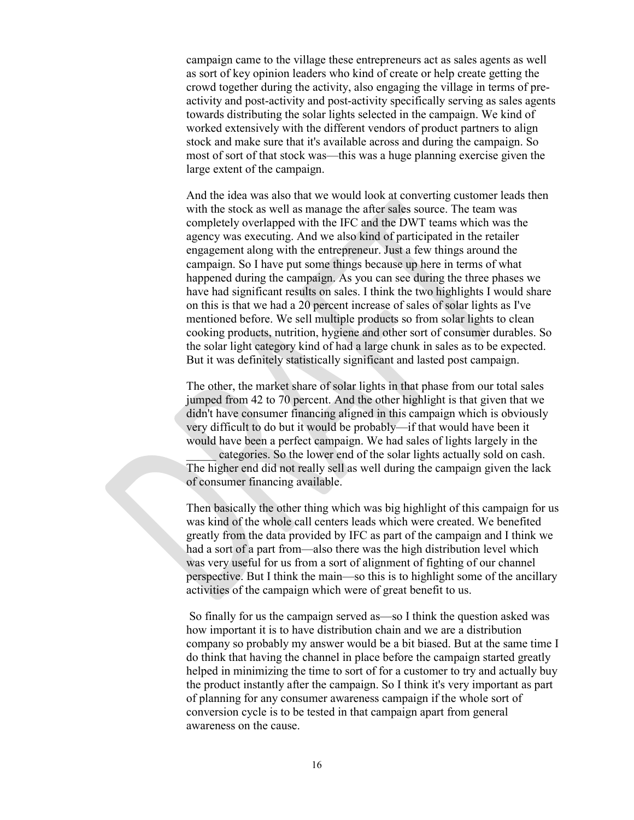campaign came to the village these entrepreneurs act as sales agents as well as sort of key opinion leaders who kind of create or help create getting the crowd together during the activity, also engaging the village in terms of preactivity and post-activity and post-activity specifically serving as sales agents towards distributing the solar lights selected in the campaign. We kind of worked extensively with the different vendors of product partners to align stock and make sure that it's available across and during the campaign. So most of sort of that stock was—this was a huge planning exercise given the large extent of the campaign.

And the idea was also that we would look at converting customer leads then with the stock as well as manage the after sales source. The team was completely overlapped with the IFC and the DWT teams which was the agency was executing. And we also kind of participated in the retailer engagement along with the entrepreneur. Just a few things around the campaign. So I have put some things because up here in terms of what happened during the campaign. As you can see during the three phases we have had significant results on sales. I think the two highlights I would share on this is that we had a 20 percent increase of sales of solar lights as I've mentioned before. We sell multiple products so from solar lights to clean cooking products, nutrition, hygiene and other sort of consumer durables. So the solar light category kind of had a large chunk in sales as to be expected. But it was definitely statistically significant and lasted post campaign.

The other, the market share of solar lights in that phase from our total sales jumped from 42 to 70 percent. And the other highlight is that given that we didn't have consumer financing aligned in this campaign which is obviously very difficult to do but it would be probably—if that would have been it would have been a perfect campaign. We had sales of lights largely in the

\_\_\_\_\_ categories. So the lower end of the solar lights actually sold on cash. The higher end did not really sell as well during the campaign given the lack of consumer financing available.

Then basically the other thing which was big highlight of this campaign for us was kind of the whole call centers leads which were created. We benefited greatly from the data provided by IFC as part of the campaign and I think we had a sort of a part from—also there was the high distribution level which was very useful for us from a sort of alignment of fighting of our channel perspective. But I think the main—so this is to highlight some of the ancillary activities of the campaign which were of great benefit to us.

So finally for us the campaign served as—so I think the question asked was how important it is to have distribution chain and we are a distribution company so probably my answer would be a bit biased. But at the same time I do think that having the channel in place before the campaign started greatly helped in minimizing the time to sort of for a customer to try and actually buy the product instantly after the campaign. So I think it's very important as part of planning for any consumer awareness campaign if the whole sort of conversion cycle is to be tested in that campaign apart from general awareness on the cause.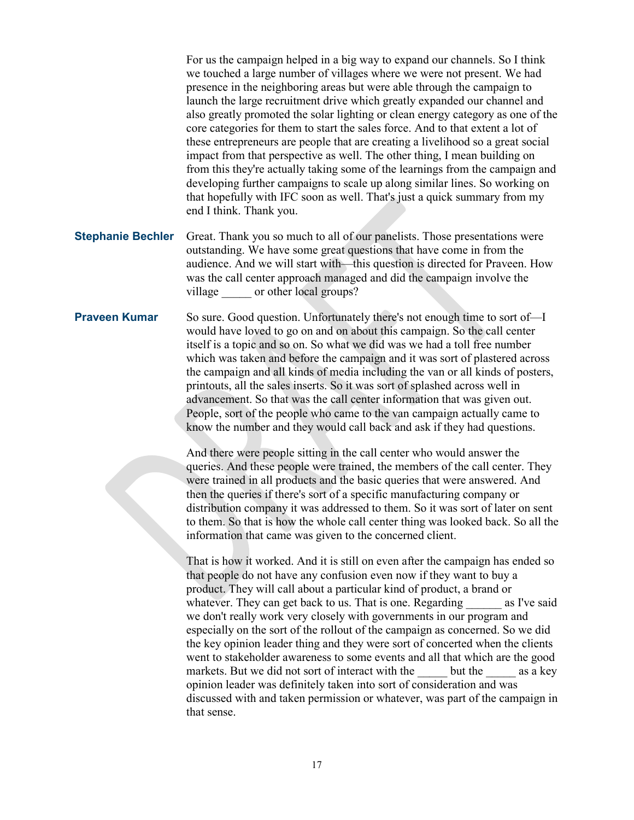For us the campaign helped in a big way to expand our channels. So I think we touched a large number of villages where we were not present. We had presence in the neighboring areas but were able through the campaign to launch the large recruitment drive which greatly expanded our channel and also greatly promoted the solar lighting or clean energy category as one of the core categories for them to start the sales force. And to that extent a lot of these entrepreneurs are people that are creating a livelihood so a great social impact from that perspective as well. The other thing, I mean building on from this they're actually taking some of the learnings from the campaign and developing further campaigns to scale up along similar lines. So working on that hopefully with IFC soon as well. That's just a quick summary from my end I think. Thank you.

**Stephanie Bechler** Great. Thank you so much to all of our panelists. Those presentations were outstanding. We have some great questions that have come in from the audience. And we will start with—this question is directed for Praveen. How was the call center approach managed and did the campaign involve the village or other local groups?

**Praveen Kumar** So sure. Good question. Unfortunately there's not enough time to sort of—I would have loved to go on and on about this campaign. So the call center itself is a topic and so on. So what we did was we had a toll free number which was taken and before the campaign and it was sort of plastered across the campaign and all kinds of media including the van or all kinds of posters, printouts, all the sales inserts. So it was sort of splashed across well in advancement. So that was the call center information that was given out. People, sort of the people who came to the van campaign actually came to know the number and they would call back and ask if they had questions.

> And there were people sitting in the call center who would answer the queries. And these people were trained, the members of the call center. They were trained in all products and the basic queries that were answered. And then the queries if there's sort of a specific manufacturing company or distribution company it was addressed to them. So it was sort of later on sent to them. So that is how the whole call center thing was looked back. So all the information that came was given to the concerned client.

> That is how it worked. And it is still on even after the campaign has ended so that people do not have any confusion even now if they want to buy a product. They will call about a particular kind of product, a brand or whatever. They can get back to us. That is one. Regarding as I've said we don't really work very closely with governments in our program and especially on the sort of the rollout of the campaign as concerned. So we did the key opinion leader thing and they were sort of concerted when the clients went to stakeholder awareness to some events and all that which are the good markets. But we did not sort of interact with the but the as a key opinion leader was definitely taken into sort of consideration and was discussed with and taken permission or whatever, was part of the campaign in that sense.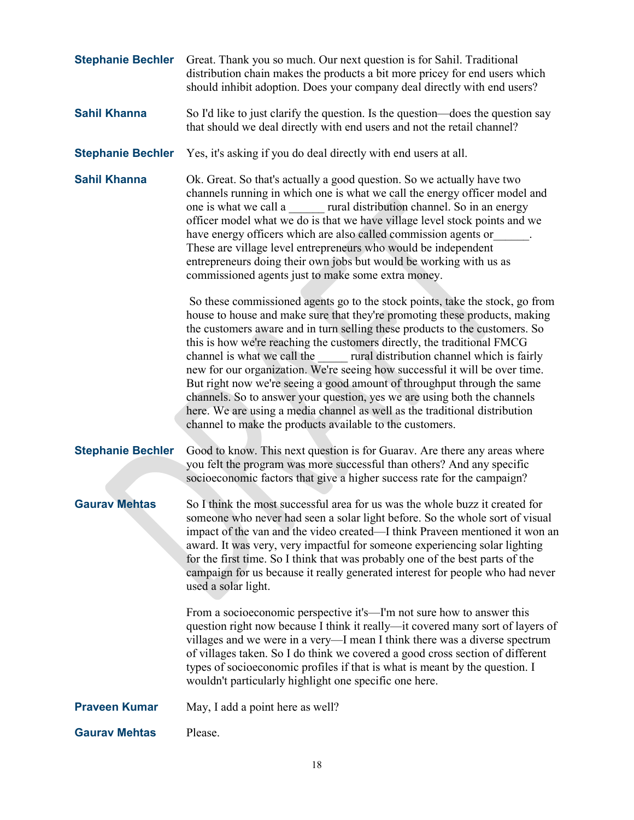| <b>Stephanie Bechler</b> | Great. Thank you so much. Our next question is for Sahil. Traditional<br>distribution chain makes the products a bit more pricey for end users which<br>should inhibit adoption. Does your company deal directly with end users?                                                                                                                                                                                                                                                                                                                                                                                                                                                                                                                                                                                                                                                                                                                                                                                                                                                                                                                                                                                                                                                                                                                           |
|--------------------------|------------------------------------------------------------------------------------------------------------------------------------------------------------------------------------------------------------------------------------------------------------------------------------------------------------------------------------------------------------------------------------------------------------------------------------------------------------------------------------------------------------------------------------------------------------------------------------------------------------------------------------------------------------------------------------------------------------------------------------------------------------------------------------------------------------------------------------------------------------------------------------------------------------------------------------------------------------------------------------------------------------------------------------------------------------------------------------------------------------------------------------------------------------------------------------------------------------------------------------------------------------------------------------------------------------------------------------------------------------|
| <b>Sahil Khanna</b>      | So I'd like to just clarify the question. Is the question—does the question say<br>that should we deal directly with end users and not the retail channel?                                                                                                                                                                                                                                                                                                                                                                                                                                                                                                                                                                                                                                                                                                                                                                                                                                                                                                                                                                                                                                                                                                                                                                                                 |
| <b>Stephanie Bechler</b> | Yes, it's asking if you do deal directly with end users at all.                                                                                                                                                                                                                                                                                                                                                                                                                                                                                                                                                                                                                                                                                                                                                                                                                                                                                                                                                                                                                                                                                                                                                                                                                                                                                            |
| <b>Sahil Khanna</b>      | Ok. Great. So that's actually a good question. So we actually have two<br>channels running in which one is what we call the energy officer model and<br>one is what we call a rural distribution channel. So in an energy<br>officer model what we do is that we have village level stock points and we<br>have energy officers which are also called commission agents or<br>These are village level entrepreneurs who would be independent<br>entrepreneurs doing their own jobs but would be working with us as<br>commissioned agents just to make some extra money.<br>So these commissioned agents go to the stock points, take the stock, go from<br>house to house and make sure that they're promoting these products, making<br>the customers aware and in turn selling these products to the customers. So<br>this is how we're reaching the customers directly, the traditional FMCG<br>channel is what we call the rural distribution channel which is fairly<br>new for our organization. We're seeing how successful it will be over time.<br>But right now we're seeing a good amount of throughput through the same<br>channels. So to answer your question, yes we are using both the channels<br>here. We are using a media channel as well as the traditional distribution<br>channel to make the products available to the customers. |
| <b>Stephanie Bechler</b> | Good to know. This next question is for Guarav. Are there any areas where<br>you felt the program was more successful than others? And any specific<br>socioeconomic factors that give a higher success rate for the campaign?                                                                                                                                                                                                                                                                                                                                                                                                                                                                                                                                                                                                                                                                                                                                                                                                                                                                                                                                                                                                                                                                                                                             |
| <b>Gaurav Mehtas</b>     | So I think the most successful area for us was the whole buzz it created for<br>someone who never had seen a solar light before. So the whole sort of visual<br>impact of the van and the video created—I think Praveen mentioned it won an<br>award. It was very, very impactful for someone experiencing solar lighting<br>for the first time. So I think that was probably one of the best parts of the<br>campaign for us because it really generated interest for people who had never<br>used a solar light.                                                                                                                                                                                                                                                                                                                                                                                                                                                                                                                                                                                                                                                                                                                                                                                                                                         |
|                          | From a socioeconomic perspective it's—I'm not sure how to answer this<br>question right now because I think it really—it covered many sort of layers of<br>villages and we were in a very-I mean I think there was a diverse spectrum<br>of villages taken. So I do think we covered a good cross section of different<br>types of socioeconomic profiles if that is what is meant by the question. I<br>wouldn't particularly highlight one specific one here.                                                                                                                                                                                                                                                                                                                                                                                                                                                                                                                                                                                                                                                                                                                                                                                                                                                                                            |
| <b>Praveen Kumar</b>     | May, I add a point here as well?                                                                                                                                                                                                                                                                                                                                                                                                                                                                                                                                                                                                                                                                                                                                                                                                                                                                                                                                                                                                                                                                                                                                                                                                                                                                                                                           |
| <b>Gaurav Mehtas</b>     | Please.                                                                                                                                                                                                                                                                                                                                                                                                                                                                                                                                                                                                                                                                                                                                                                                                                                                                                                                                                                                                                                                                                                                                                                                                                                                                                                                                                    |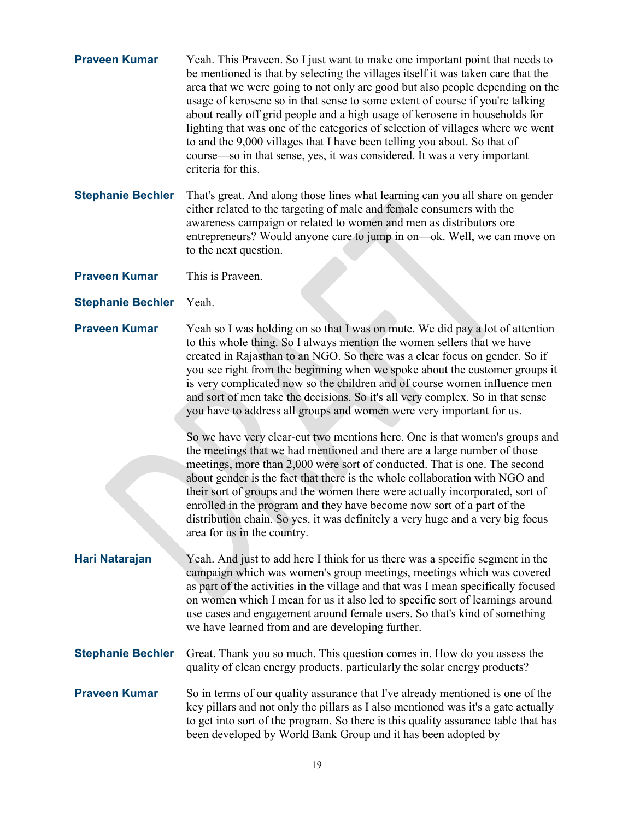| <b>Praveen Kumar</b>     | Yeah. This Praveen. So I just want to make one important point that needs to<br>be mentioned is that by selecting the villages itself it was taken care that the<br>area that we were going to not only are good but also people depending on the<br>usage of kerosene so in that sense to some extent of course if you're talking<br>about really off grid people and a high usage of kerosene in households for<br>lighting that was one of the categories of selection of villages where we went<br>to and the 9,000 villages that I have been telling you about. So that of<br>course—so in that sense, yes, it was considered. It was a very important<br>criteria for this. |
|--------------------------|-----------------------------------------------------------------------------------------------------------------------------------------------------------------------------------------------------------------------------------------------------------------------------------------------------------------------------------------------------------------------------------------------------------------------------------------------------------------------------------------------------------------------------------------------------------------------------------------------------------------------------------------------------------------------------------|
| <b>Stephanie Bechler</b> | That's great. And along those lines what learning can you all share on gender<br>either related to the targeting of male and female consumers with the<br>awareness campaign or related to women and men as distributors ore<br>entrepreneurs? Would anyone care to jump in on—ok. Well, we can move on<br>to the next question.                                                                                                                                                                                                                                                                                                                                                  |
| <b>Praveen Kumar</b>     | This is Praveen.                                                                                                                                                                                                                                                                                                                                                                                                                                                                                                                                                                                                                                                                  |
| <b>Stephanie Bechler</b> | Yeah.                                                                                                                                                                                                                                                                                                                                                                                                                                                                                                                                                                                                                                                                             |
| <b>Praveen Kumar</b>     | Yeah so I was holding on so that I was on mute. We did pay a lot of attention<br>to this whole thing. So I always mention the women sellers that we have<br>created in Rajasthan to an NGO. So there was a clear focus on gender. So if<br>you see right from the beginning when we spoke about the customer groups it<br>is very complicated now so the children and of course women influence men<br>and sort of men take the decisions. So it's all very complex. So in that sense<br>you have to address all groups and women were very important for us.                                                                                                                     |
|                          | So we have very clear-cut two mentions here. One is that women's groups and<br>the meetings that we had mentioned and there are a large number of those<br>meetings, more than 2,000 were sort of conducted. That is one. The second<br>about gender is the fact that there is the whole collaboration with NGO and<br>their sort of groups and the women there were actually incorporated, sort of<br>enrolled in the program and they have become now sort of a part of the<br>distribution chain. So yes, it was definitely a very huge and a very big focus<br>area for us in the country.                                                                                    |
| Hari Natarajan           | Yeah. And just to add here I think for us there was a specific segment in the<br>campaign which was women's group meetings, meetings which was covered<br>as part of the activities in the village and that was I mean specifically focused<br>on women which I mean for us it also led to specific sort of learnings around<br>use cases and engagement around female users. So that's kind of something<br>we have learned from and are developing further.                                                                                                                                                                                                                     |
| <b>Stephanie Bechler</b> | Great. Thank you so much. This question comes in. How do you assess the<br>quality of clean energy products, particularly the solar energy products?                                                                                                                                                                                                                                                                                                                                                                                                                                                                                                                              |
| <b>Praveen Kumar</b>     | So in terms of our quality assurance that I've already mentioned is one of the<br>key pillars and not only the pillars as I also mentioned was it's a gate actually<br>to get into sort of the program. So there is this quality assurance table that has<br>been developed by World Bank Group and it has been adopted by                                                                                                                                                                                                                                                                                                                                                        |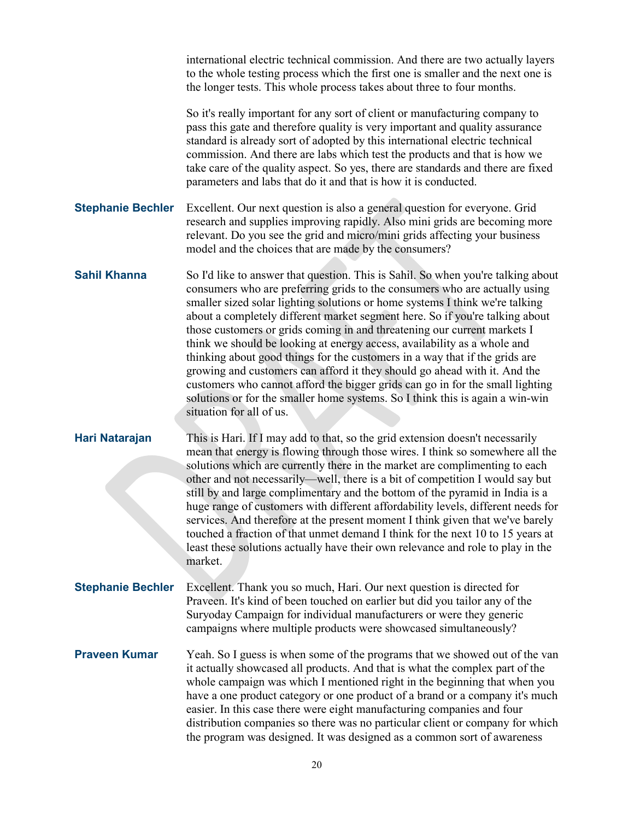|                          | international electric technical commission. And there are two actually layers<br>to the whole testing process which the first one is smaller and the next one is<br>the longer tests. This whole process takes about three to four months.                                                                                                                                                                                                                                                                                                                                                                                                                                                                                                                                                                                                      |
|--------------------------|--------------------------------------------------------------------------------------------------------------------------------------------------------------------------------------------------------------------------------------------------------------------------------------------------------------------------------------------------------------------------------------------------------------------------------------------------------------------------------------------------------------------------------------------------------------------------------------------------------------------------------------------------------------------------------------------------------------------------------------------------------------------------------------------------------------------------------------------------|
|                          | So it's really important for any sort of client or manufacturing company to<br>pass this gate and therefore quality is very important and quality assurance<br>standard is already sort of adopted by this international electric technical<br>commission. And there are labs which test the products and that is how we<br>take care of the quality aspect. So yes, there are standards and there are fixed<br>parameters and labs that do it and that is how it is conducted.                                                                                                                                                                                                                                                                                                                                                                  |
| <b>Stephanie Bechler</b> | Excellent. Our next question is also a general question for everyone. Grid<br>research and supplies improving rapidly. Also mini grids are becoming more<br>relevant. Do you see the grid and micro/mini grids affecting your business<br>model and the choices that are made by the consumers?                                                                                                                                                                                                                                                                                                                                                                                                                                                                                                                                                  |
| <b>Sahil Khanna</b>      | So I'd like to answer that question. This is Sahil. So when you're talking about<br>consumers who are preferring grids to the consumers who are actually using<br>smaller sized solar lighting solutions or home systems I think we're talking<br>about a completely different market segment here. So if you're talking about<br>those customers or grids coming in and threatening our current markets I<br>think we should be looking at energy access, availability as a whole and<br>thinking about good things for the customers in a way that if the grids are<br>growing and customers can afford it they should go ahead with it. And the<br>customers who cannot afford the bigger grids can go in for the small lighting<br>solutions or for the smaller home systems. So I think this is again a win-win<br>situation for all of us. |
| Hari Natarajan           | This is Hari. If I may add to that, so the grid extension doesn't necessarily<br>mean that energy is flowing through those wires. I think so somewhere all the<br>solutions which are currently there in the market are complimenting to each<br>other and not necessarily—well, there is a bit of competition I would say but<br>still by and large complimentary and the bottom of the pyramid in India is a<br>huge range of customers with different affordability levels, different needs for<br>services. And therefore at the present moment I think given that we've barely<br>touched a fraction of that unmet demand I think for the next 10 to 15 years at<br>least these solutions actually have their own relevance and role to play in the<br>market.                                                                              |
| <b>Stephanie Bechler</b> | Excellent. Thank you so much, Hari. Our next question is directed for<br>Praveen. It's kind of been touched on earlier but did you tailor any of the<br>Suryoday Campaign for individual manufacturers or were they generic<br>campaigns where multiple products were showcased simultaneously?                                                                                                                                                                                                                                                                                                                                                                                                                                                                                                                                                  |
| <b>Praveen Kumar</b>     | Yeah. So I guess is when some of the programs that we showed out of the van<br>it actually showcased all products. And that is what the complex part of the<br>whole campaign was which I mentioned right in the beginning that when you<br>have a one product category or one product of a brand or a company it's much<br>easier. In this case there were eight manufacturing companies and four<br>distribution companies so there was no particular client or company for which<br>the program was designed. It was designed as a common sort of awareness                                                                                                                                                                                                                                                                                   |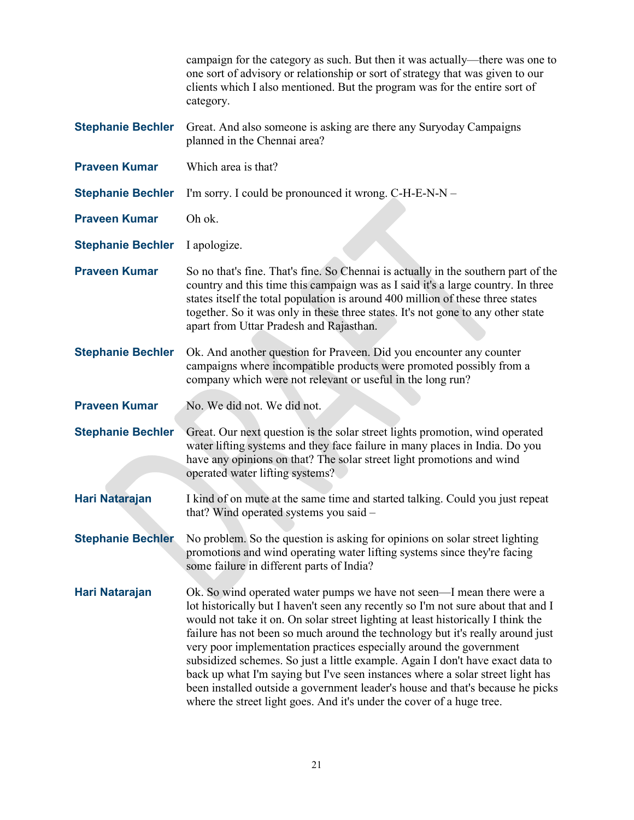|                          | campaign for the category as such. But then it was actually—there was one to<br>one sort of advisory or relationship or sort of strategy that was given to our<br>clients which I also mentioned. But the program was for the entire sort of<br>category.                                                                                                                                                                                                                                                                                                                                                                                                                                                                              |
|--------------------------|----------------------------------------------------------------------------------------------------------------------------------------------------------------------------------------------------------------------------------------------------------------------------------------------------------------------------------------------------------------------------------------------------------------------------------------------------------------------------------------------------------------------------------------------------------------------------------------------------------------------------------------------------------------------------------------------------------------------------------------|
| <b>Stephanie Bechler</b> | Great. And also someone is asking are there any Suryoday Campaigns<br>planned in the Chennai area?                                                                                                                                                                                                                                                                                                                                                                                                                                                                                                                                                                                                                                     |
| <b>Praveen Kumar</b>     | Which area is that?                                                                                                                                                                                                                                                                                                                                                                                                                                                                                                                                                                                                                                                                                                                    |
| <b>Stephanie Bechler</b> | I'm sorry. I could be pronounced it wrong. C-H-E-N-N -                                                                                                                                                                                                                                                                                                                                                                                                                                                                                                                                                                                                                                                                                 |
| <b>Praveen Kumar</b>     | Oh ok.                                                                                                                                                                                                                                                                                                                                                                                                                                                                                                                                                                                                                                                                                                                                 |
| <b>Stephanie Bechler</b> | I apologize.                                                                                                                                                                                                                                                                                                                                                                                                                                                                                                                                                                                                                                                                                                                           |
| <b>Praveen Kumar</b>     | So no that's fine. That's fine. So Chennai is actually in the southern part of the<br>country and this time this campaign was as I said it's a large country. In three<br>states itself the total population is around 400 million of these three states<br>together. So it was only in these three states. It's not gone to any other state<br>apart from Uttar Pradesh and Rajasthan.                                                                                                                                                                                                                                                                                                                                                |
| <b>Stephanie Bechler</b> | Ok. And another question for Praveen. Did you encounter any counter<br>campaigns where incompatible products were promoted possibly from a<br>company which were not relevant or useful in the long run?                                                                                                                                                                                                                                                                                                                                                                                                                                                                                                                               |
| <b>Praveen Kumar</b>     | No. We did not. We did not.                                                                                                                                                                                                                                                                                                                                                                                                                                                                                                                                                                                                                                                                                                            |
| <b>Stephanie Bechler</b> | Great. Our next question is the solar street lights promotion, wind operated<br>water lifting systems and they face failure in many places in India. Do you<br>have any opinions on that? The solar street light promotions and wind<br>operated water lifting systems?                                                                                                                                                                                                                                                                                                                                                                                                                                                                |
| Hari Natarajan           | I kind of on mute at the same time and started talking. Could you just repeat<br>that? Wind operated systems you said –                                                                                                                                                                                                                                                                                                                                                                                                                                                                                                                                                                                                                |
| <b>Stephanie Bechler</b> | No problem. So the question is asking for opinions on solar street lighting<br>promotions and wind operating water lifting systems since they're facing<br>some failure in different parts of India?                                                                                                                                                                                                                                                                                                                                                                                                                                                                                                                                   |
| Hari Natarajan           | Ok. So wind operated water pumps we have not seen—I mean there were a<br>lot historically but I haven't seen any recently so I'm not sure about that and I<br>would not take it on. On solar street lighting at least historically I think the<br>failure has not been so much around the technology but it's really around just<br>very poor implementation practices especially around the government<br>subsidized schemes. So just a little example. Again I don't have exact data to<br>back up what I'm saying but I've seen instances where a solar street light has<br>been installed outside a government leader's house and that's because he picks<br>where the street light goes. And it's under the cover of a huge tree. |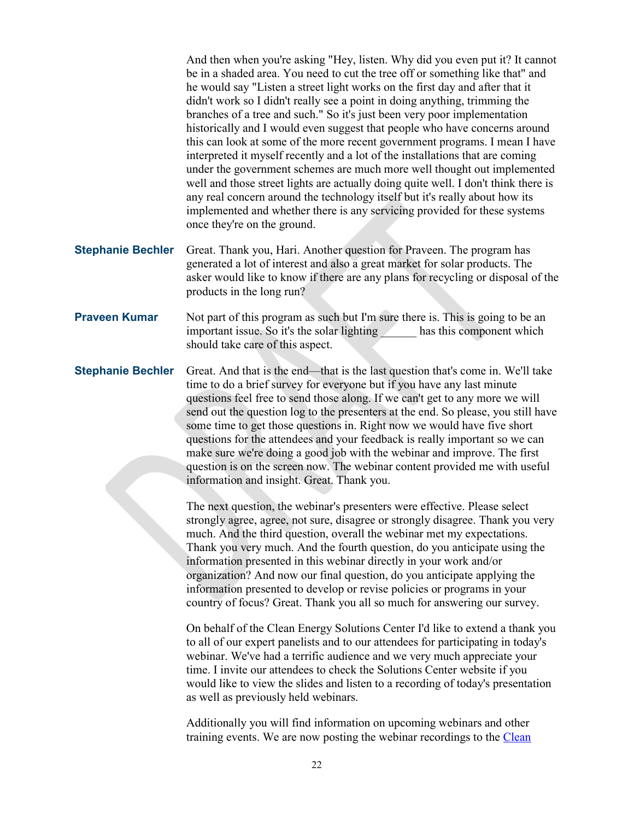And then when you're asking "Hey, listen. Why did you even put it? It cannot be in a shaded area. You need to cut the tree off or something like that" and he would say "Listen a street light works on the first day and after that it didn't work so I didn't really see a point in doing anything, trimming the branches of a tree and such." So it's just been very poor implementation historically and I would even suggest that people who have concerns around this can look at some of the more recent government programs. I mean I have interpreted it myself recently and a lot of the installations that are coming under the government schemes are much more well thought out implemented well and those street lights are actually doing quite well. I don't think there is any real concern around the technology itself but it's really about how its implemented and whether there is any servicing provided for these systems once they're on the ground.

- **Stephanie Bechler** Great. Thank you, Hari. Another question for Praveen. The program has generated a lot of interest and also a great market for solar products. The asker would like to know if there are any plans for recycling or disposal of the products in the long run?
- **Praveen Kumar** Not part of this program as such but I'm sure there is. This is going to be an important issue. So it's the solar lighting has this component which should take care of this aspect.
- **Stephanie Bechler** Great. And that is the end—that is the last question that's come in. We'll take time to do a brief survey for everyone but if you have any last minute questions feel free to send those along. If we can't get to any more we will send out the question log to the presenters at the end. So please, you still have some time to get those questions in. Right now we would have five short questions for the attendees and your feedback is really important so we can make sure we're doing a good job with the webinar and improve. The first question is on the screen now. The webinar content provided me with useful information and insight. Great. Thank you.

The next question, the webinar's presenters were effective. Please select strongly agree, agree, not sure, disagree or strongly disagree. Thank you very much. And the third question, overall the webinar met my expectations. Thank you very much. And the fourth question, do you anticipate using the information presented in this webinar directly in your work and/or organization? And now our final question, do you anticipate applying the information presented to develop or revise policies or programs in your country of focus? Great. Thank you all so much for answering our survey.

On behalf of the Clean Energy Solutions Center I'd like to extend a thank you to all of our expert panelists and to our attendees for participating in today's webinar. We've had a terrific audience and we very much appreciate your time. I invite our attendees to check the Solutions Center website if you would like to view the slides and listen to a recording of today's presentation as well as previously held webinars.

Additionally you will find information on upcoming webinars and other training events. We are now posting the webinar recordings to the [Clean](https://www.youtube.com/user/cleanenergypolicy)